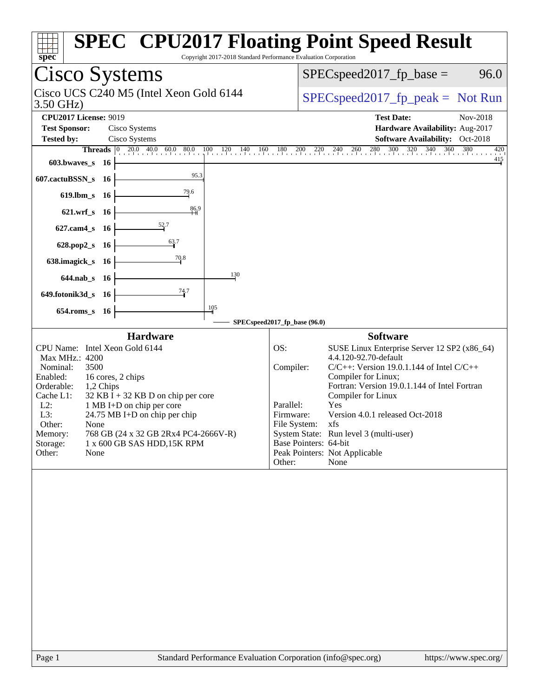| Copyright 2017-2018 Standard Performance Evaluation Corporation<br>spec                                                                                                                                                                                                                                                                                                                                                                                                                                                                                                                                                                                                                                                                                                                                                            | <b>SPEC<sup>®</sup> CPU2017 Floating Point Speed Result</b>                                                                                                                                                                                                                                                                                                                                                                                                                                                                                                                                                  |
|------------------------------------------------------------------------------------------------------------------------------------------------------------------------------------------------------------------------------------------------------------------------------------------------------------------------------------------------------------------------------------------------------------------------------------------------------------------------------------------------------------------------------------------------------------------------------------------------------------------------------------------------------------------------------------------------------------------------------------------------------------------------------------------------------------------------------------|--------------------------------------------------------------------------------------------------------------------------------------------------------------------------------------------------------------------------------------------------------------------------------------------------------------------------------------------------------------------------------------------------------------------------------------------------------------------------------------------------------------------------------------------------------------------------------------------------------------|
| Cisco Systems                                                                                                                                                                                                                                                                                                                                                                                                                                                                                                                                                                                                                                                                                                                                                                                                                      | $SPEC speed2017fp base =$<br>96.0                                                                                                                                                                                                                                                                                                                                                                                                                                                                                                                                                                            |
| Cisco UCS C240 M5 (Intel Xeon Gold 6144<br>3.50 GHz)                                                                                                                                                                                                                                                                                                                                                                                                                                                                                                                                                                                                                                                                                                                                                                               | $SPEC speed2017fr peak = Not Run$                                                                                                                                                                                                                                                                                                                                                                                                                                                                                                                                                                            |
| <b>CPU2017 License: 9019</b><br><b>Test Sponsor:</b><br>Cisco Systems<br><b>Tested by:</b><br>Cisco Systems                                                                                                                                                                                                                                                                                                                                                                                                                                                                                                                                                                                                                                                                                                                        | <b>Test Date:</b><br>Nov-2018<br>Hardware Availability: Aug-2017<br>Software Availability: Oct-2018                                                                                                                                                                                                                                                                                                                                                                                                                                                                                                          |
| $20.0$ 40.0 60.0 80.0<br>$\frac{100}{1}$ $\frac{120}{1}$ $\frac{140}{1}$<br>160<br><b>Threads</b><br>$ 0\rangle$<br>603.bwaves_s<br>- 16<br>95.3<br>607.cactuBSSN_s 16<br>79.6<br>619.lbm_s 16<br>86.9<br>$621.wrf$ <sub>S</sub><br>- 16<br>627.cam4_s<br>- 16<br>63.7<br>628.pop2_s<br>- 16<br>70.8<br>638.imagick_s 16<br>130<br>644.nab_s 16<br>74.7<br>649.fotonik3d_s 16<br>105<br>654.roms_s 16<br><b>Hardware</b><br>CPU Name: Intel Xeon Gold 6144<br>Max MHz.: 4200<br>Nominal:<br>3500<br>Enabled:<br>16 cores, 2 chips<br>Orderable:<br>1,2 Chips<br>Cache L1:<br>$32$ KB I + 32 KB D on chip per core<br>$L2$ :<br>1 MB I+D on chip per core<br>L3:<br>24.75 MB I+D on chip per chip<br>Other:<br>None<br>768 GB (24 x 32 GB 2Rx4 PC4-2666V-R)<br>Memory:<br>Storage:<br>1 x 600 GB SAS HDD, 15K RPM<br>Other:<br>None | $180 \t200 \t220 \t240 \t260 \t280 \t300$<br>$\frac{320}{1}$<br>$340 - 360$<br>380<br>420<br>415<br>SPECspeed2017_fp_base (96.0)<br><b>Software</b><br>OS:<br>SUSE Linux Enterprise Server 12 SP2 (x86_64)<br>4.4.120-92.70-default<br>Compiler:<br>$C/C++$ : Version 19.0.1.144 of Intel $C/C++$<br>Compiler for Linux;<br>Fortran: Version 19.0.1.144 of Intel Fortran<br>Compiler for Linux<br>Yes<br>Parallel:<br>Version 4.0.1 released Oct-2018<br>Firmware:<br>File System: xfs<br>System State: Run level 3 (multi-user)<br>Base Pointers: 64-bit<br>Peak Pointers: Not Applicable<br>Other:<br>None |
| Page 1                                                                                                                                                                                                                                                                                                                                                                                                                                                                                                                                                                                                                                                                                                                                                                                                                             | Standard Performance Evaluation Corporation (info@spec.org)<br>https://www.spec.org/                                                                                                                                                                                                                                                                                                                                                                                                                                                                                                                         |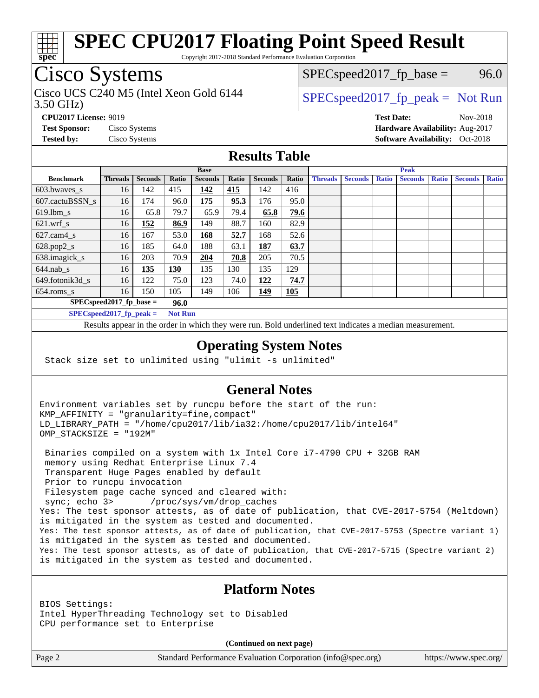

Copyright 2017-2018 Standard Performance Evaluation Corporation

## Cisco Systems

3.50 GHz) Cisco UCS C240 M5 (Intel Xeon Gold 6144  $\vert$  [SPECspeed2017\\_fp\\_peak =](http://www.spec.org/auto/cpu2017/Docs/result-fields.html#SPECspeed2017fppeak) Not Run

 $SPEC speed2017_fp\_base = 96.0$ 

**[CPU2017 License:](http://www.spec.org/auto/cpu2017/Docs/result-fields.html#CPU2017License)** 9019 **[Test Date:](http://www.spec.org/auto/cpu2017/Docs/result-fields.html#TestDate)** Nov-2018 **[Test Sponsor:](http://www.spec.org/auto/cpu2017/Docs/result-fields.html#TestSponsor)** Cisco Systems **[Hardware Availability:](http://www.spec.org/auto/cpu2017/Docs/result-fields.html#HardwareAvailability)** Aug-2017 **[Tested by:](http://www.spec.org/auto/cpu2017/Docs/result-fields.html#Testedby)** Cisco Systems **Cisco Systems [Software Availability:](http://www.spec.org/auto/cpu2017/Docs/result-fields.html#SoftwareAvailability)** Oct-2018

### **[Results Table](http://www.spec.org/auto/cpu2017/Docs/result-fields.html#ResultsTable)**

|                                    | <b>Base</b>    |                |            |                |       | <b>Peak</b>    |       |                |                |              |                |              |                |              |
|------------------------------------|----------------|----------------|------------|----------------|-------|----------------|-------|----------------|----------------|--------------|----------------|--------------|----------------|--------------|
| <b>Benchmark</b>                   | <b>Threads</b> | <b>Seconds</b> | Ratio      | <b>Seconds</b> | Ratio | <b>Seconds</b> | Ratio | <b>Threads</b> | <b>Seconds</b> | <b>Ratio</b> | <b>Seconds</b> | <b>Ratio</b> | <b>Seconds</b> | <b>Ratio</b> |
| $603.bwaves$ s                     | 16             | 142            | 415        | 142            | 415   | 142            | 416   |                |                |              |                |              |                |              |
| 607.cactuBSSN s                    | 16             | 174            | 96.0       | 175            | 95.3  | 176            | 95.0  |                |                |              |                |              |                |              |
| $619.$ lbm s                       | 16             | 65.8           | 79.7       | 65.9           | 79.4  | 65.8           | 79.6  |                |                |              |                |              |                |              |
| $621.wrf$ s                        | 16             | 152            | 86.9       | 149            | 88.7  | 160            | 82.9  |                |                |              |                |              |                |              |
| $627$ .cam4 s                      | 16             | 167            | 53.0       | 168            | 52.7  | 168            | 52.6  |                |                |              |                |              |                |              |
| $628.pop2_s$                       | 16             | 185            | 64.0       | 188            | 63.1  | 187            | 63.7  |                |                |              |                |              |                |              |
| 638.imagick_s                      | 16             | 203            | 70.9       | 204            | 70.8  | 205            | 70.5  |                |                |              |                |              |                |              |
| $644$ .nab s                       | 16             | 135            | <u>130</u> | 135            | 130   | 135            | 129   |                |                |              |                |              |                |              |
| 649.fotonik3d s                    | 16             | 122            | 75.0       | 123            | 74.0  | 122            | 74.7  |                |                |              |                |              |                |              |
| $654$ .roms s                      | 16             | 150            | 105        | 149            | 106   | 149            | 105   |                |                |              |                |              |                |              |
| $SPEC speed2017$ fp base =<br>96.0 |                |                |            |                |       |                |       |                |                |              |                |              |                |              |
| SPECspeed 2017 fp peak $=$         |                |                |            | <b>Not Run</b> |       |                |       |                |                |              |                |              |                |              |

Results appear in the [order in which they were run.](http://www.spec.org/auto/cpu2017/Docs/result-fields.html#RunOrder) Bold underlined text [indicates a median measurement](http://www.spec.org/auto/cpu2017/Docs/result-fields.html#Median).

#### **[Operating System Notes](http://www.spec.org/auto/cpu2017/Docs/result-fields.html#OperatingSystemNotes)**

Stack size set to unlimited using "ulimit -s unlimited"

### **[General Notes](http://www.spec.org/auto/cpu2017/Docs/result-fields.html#GeneralNotes)**

Environment variables set by runcpu before the start of the run: KMP\_AFFINITY = "granularity=fine,compact" LD\_LIBRARY\_PATH = "/home/cpu2017/lib/ia32:/home/cpu2017/lib/intel64" OMP\_STACKSIZE = "192M"

 Binaries compiled on a system with 1x Intel Core i7-4790 CPU + 32GB RAM memory using Redhat Enterprise Linux 7.4 Transparent Huge Pages enabled by default Prior to runcpu invocation Filesystem page cache synced and cleared with: sync; echo 3> /proc/sys/vm/drop\_caches Yes: The test sponsor attests, as of date of publication, that CVE-2017-5754 (Meltdown) is mitigated in the system as tested and documented. Yes: The test sponsor attests, as of date of publication, that CVE-2017-5753 (Spectre variant 1) is mitigated in the system as tested and documented. Yes: The test sponsor attests, as of date of publication, that CVE-2017-5715 (Spectre variant 2) is mitigated in the system as tested and documented.

## **[Platform Notes](http://www.spec.org/auto/cpu2017/Docs/result-fields.html#PlatformNotes)**

BIOS Settings: Intel HyperThreading Technology set to Disabled CPU performance set to Enterprise

**(Continued on next page)**

Page 2 Standard Performance Evaluation Corporation [\(info@spec.org\)](mailto:info@spec.org) <https://www.spec.org/>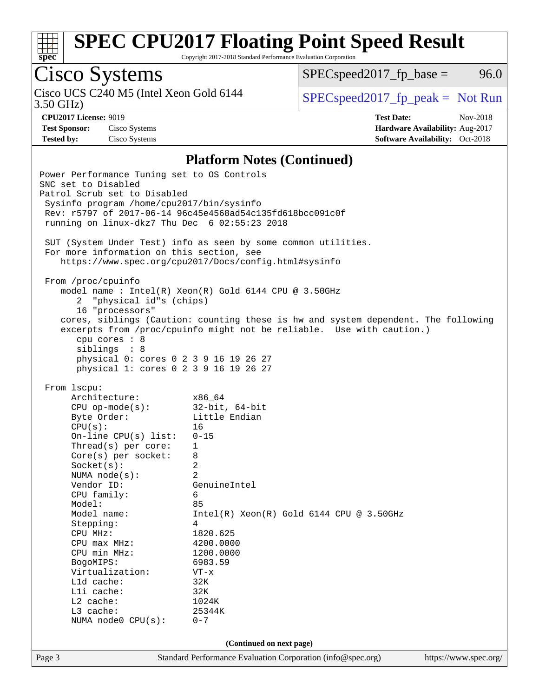

Copyright 2017-2018 Standard Performance Evaluation Corporation

# Cisco Systems

3.50 GHz) Cisco UCS C240 M5 (Intel Xeon Gold 6144  $\vert$  [SPECspeed2017\\_fp\\_peak =](http://www.spec.org/auto/cpu2017/Docs/result-fields.html#SPECspeed2017fppeak) Not Run

 $SPEC speed2017_fp\_base = 96.0$ 

**[Test Sponsor:](http://www.spec.org/auto/cpu2017/Docs/result-fields.html#TestSponsor)** Cisco Systems **[Hardware Availability:](http://www.spec.org/auto/cpu2017/Docs/result-fields.html#HardwareAvailability)** Aug-2017

**[CPU2017 License:](http://www.spec.org/auto/cpu2017/Docs/result-fields.html#CPU2017License)** 9019 **[Test Date:](http://www.spec.org/auto/cpu2017/Docs/result-fields.html#TestDate)** Nov-2018 **[Tested by:](http://www.spec.org/auto/cpu2017/Docs/result-fields.html#Testedby)** Cisco Systems **[Software Availability:](http://www.spec.org/auto/cpu2017/Docs/result-fields.html#SoftwareAvailability)** Oct-2018

#### **[Platform Notes \(Continued\)](http://www.spec.org/auto/cpu2017/Docs/result-fields.html#PlatformNotes)**

Page 3 Standard Performance Evaluation Corporation [\(info@spec.org\)](mailto:info@spec.org) <https://www.spec.org/> Power Performance Tuning set to OS Controls SNC set to Disabled Patrol Scrub set to Disabled Sysinfo program /home/cpu2017/bin/sysinfo Rev: r5797 of 2017-06-14 96c45e4568ad54c135fd618bcc091c0f running on linux-dkz7 Thu Dec 6 02:55:23 2018 SUT (System Under Test) info as seen by some common utilities. For more information on this section, see <https://www.spec.org/cpu2017/Docs/config.html#sysinfo> From /proc/cpuinfo model name : Intel(R) Xeon(R) Gold 6144 CPU @ 3.50GHz 2 "physical id"s (chips) 16 "processors" cores, siblings (Caution: counting these is hw and system dependent. The following excerpts from /proc/cpuinfo might not be reliable. Use with caution.) cpu cores : 8 siblings : 8 physical 0: cores 0 2 3 9 16 19 26 27 physical 1: cores 0 2 3 9 16 19 26 27 From lscpu: Architecture: x86\_64 CPU op-mode(s): 32-bit, 64-bit Byte Order: Little Endian CPU(s): 16 On-line CPU(s) list: 0-15 Thread(s) per core: 1 Core(s) per socket: 8 Socket(s): 2 NUMA node(s): 2 Vendor ID: GenuineIntel CPU family: 6 Model: 85 Model name: Intel(R) Xeon(R) Gold 6144 CPU @ 3.50GHz Stepping: 4 CPU MHz: 1820.625 CPU max MHz: 4200.0000 CPU min MHz: 1200.0000 BogoMIPS: 6983.59 Virtualization: VT-x L1d cache: 32K L1i cache: 32K L2 cache: 1024K L3 cache: 25344K NUMA node0 CPU(s): 0-7 **(Continued on next page)**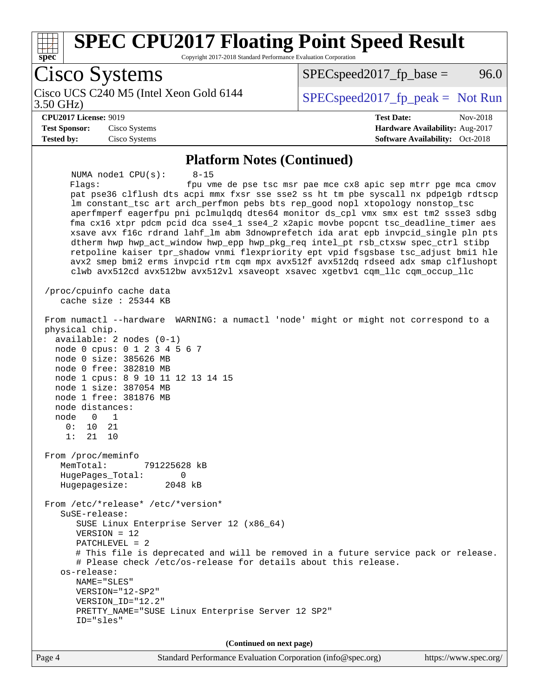

Copyright 2017-2018 Standard Performance Evaluation Corporation

Cisco Systems Cisco UCS C240 M5 (Intel Xeon Gold 6144<br>3.50 GHz)  $SPEC speed2017_fp\_peak = Not Run$  $SPEC speed2017<sub>fp</sub> base = 96.0$ **[CPU2017 License:](http://www.spec.org/auto/cpu2017/Docs/result-fields.html#CPU2017License)** 9019 **[Test Date:](http://www.spec.org/auto/cpu2017/Docs/result-fields.html#TestDate)** Nov-2018 **[Test Sponsor:](http://www.spec.org/auto/cpu2017/Docs/result-fields.html#TestSponsor)** Cisco Systems **[Hardware Availability:](http://www.spec.org/auto/cpu2017/Docs/result-fields.html#HardwareAvailability)** Aug-2017 **[Tested by:](http://www.spec.org/auto/cpu2017/Docs/result-fields.html#Testedby)** Cisco Systems **[Software Availability:](http://www.spec.org/auto/cpu2017/Docs/result-fields.html#SoftwareAvailability)** Oct-2018 **[Platform Notes \(Continued\)](http://www.spec.org/auto/cpu2017/Docs/result-fields.html#PlatformNotes)** NUMA node1 CPU(s): 8-15 Flags: fpu vme de pse tsc msr pae mce cx8 apic sep mtrr pge mca cmov pat pse36 clflush dts acpi mmx fxsr sse sse2 ss ht tm pbe syscall nx pdpe1gb rdtscp lm constant\_tsc art arch\_perfmon pebs bts rep\_good nopl xtopology nonstop\_tsc aperfmperf eagerfpu pni pclmulqdq dtes64 monitor ds\_cpl vmx smx est tm2 ssse3 sdbg fma cx16 xtpr pdcm pcid dca sse4\_1 sse4\_2 x2apic movbe popcnt tsc\_deadline\_timer aes xsave avx f16c rdrand lahf\_lm abm 3dnowprefetch ida arat epb invpcid\_single pln pts dtherm hwp hwp\_act\_window hwp\_epp hwp\_pkg\_req intel\_pt rsb\_ctxsw spec\_ctrl stibp retpoline kaiser tpr\_shadow vnmi flexpriority ept vpid fsgsbase tsc\_adjust bmi1 hle avx2 smep bmi2 erms invpcid rtm cqm mpx avx512f avx512dq rdseed adx smap clflushopt clwb avx512cd avx512bw avx512vl xsaveopt xsavec xgetbv1 cqm\_llc cqm\_occup\_llc /proc/cpuinfo cache data cache size : 25344 KB From numactl --hardware WARNING: a numactl 'node' might or might not correspond to a physical chip. available: 2 nodes (0-1) node 0 cpus: 0 1 2 3 4 5 6 7 node 0 size: 385626 MB node 0 free: 382810 MB node 1 cpus: 8 9 10 11 12 13 14 15 node 1 size: 387054 MB node 1 free: 381876 MB node distances: node 0 1 0: 10 21 1: 21 10 From /proc/meminfo MemTotal: 791225628 kB HugePages\_Total: 0 Hugepagesize: 2048 kB From /etc/\*release\* /etc/\*version\* SuSE-release: SUSE Linux Enterprise Server 12 (x86\_64) VERSION = 12 PATCHLEVEL = 2 # This file is deprecated and will be removed in a future service pack or release. # Please check /etc/os-release for details about this release. os-release: NAME="SLES" VERSION="12-SP2" VERSION\_ID="12.2" PRETTY\_NAME="SUSE Linux Enterprise Server 12 SP2" ID="sles" **(Continued on next page)**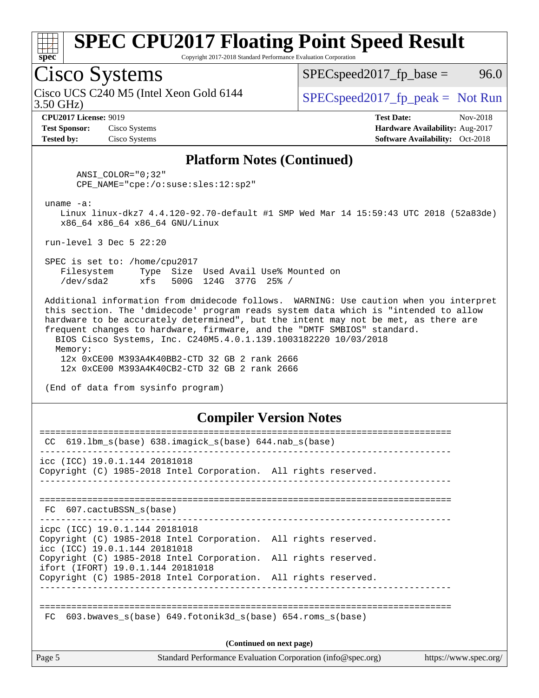

Copyright 2017-2018 Standard Performance Evaluation Corporation

## Cisco Systems

3.50 GHz) Cisco UCS C240 M5 (Intel Xeon Gold 6144  $\vert$  [SPECspeed2017\\_fp\\_peak =](http://www.spec.org/auto/cpu2017/Docs/result-fields.html#SPECspeed2017fppeak) Not Run

 $SPEC speed2017_fp\_base = 96.0$ 

**[Test Sponsor:](http://www.spec.org/auto/cpu2017/Docs/result-fields.html#TestSponsor)** Cisco Systems **[Hardware Availability:](http://www.spec.org/auto/cpu2017/Docs/result-fields.html#HardwareAvailability)** Aug-2017 **[Tested by:](http://www.spec.org/auto/cpu2017/Docs/result-fields.html#Testedby)** Cisco Systems **Cisco Systems [Software Availability:](http://www.spec.org/auto/cpu2017/Docs/result-fields.html#SoftwareAvailability)** Oct-2018

**[CPU2017 License:](http://www.spec.org/auto/cpu2017/Docs/result-fields.html#CPU2017License)** 9019 **[Test Date:](http://www.spec.org/auto/cpu2017/Docs/result-fields.html#TestDate)** Nov-2018

#### **[Platform Notes \(Continued\)](http://www.spec.org/auto/cpu2017/Docs/result-fields.html#PlatformNotes)**

 ANSI\_COLOR="0;32" CPE\_NAME="cpe:/o:suse:sles:12:sp2"

uname -a:

 Linux linux-dkz7 4.4.120-92.70-default #1 SMP Wed Mar 14 15:59:43 UTC 2018 (52a83de) x86\_64 x86\_64 x86\_64 GNU/Linux

run-level 3 Dec 5 22:20

 SPEC is set to: /home/cpu2017 Filesystem Type Size Used Avail Use% Mounted on /dev/sda2 xfs 500G 124G 377G 25% /

 Additional information from dmidecode follows. WARNING: Use caution when you interpret this section. The 'dmidecode' program reads system data which is "intended to allow hardware to be accurately determined", but the intent may not be met, as there are frequent changes to hardware, firmware, and the "DMTF SMBIOS" standard. BIOS Cisco Systems, Inc. C240M5.4.0.1.139.1003182220 10/03/2018 Memory:

 12x 0xCE00 M393A4K40BB2-CTD 32 GB 2 rank 2666 12x 0xCE00 M393A4K40CB2-CTD 32 GB 2 rank 2666

(End of data from sysinfo program)

### **[Compiler Version Notes](http://www.spec.org/auto/cpu2017/Docs/result-fields.html#CompilerVersionNotes)**

| CC.         | $619.1$ bm_s(base) $638.imagick_s(base)$ $644.nab_s(base)$                                                                         |                                                             |                       |
|-------------|------------------------------------------------------------------------------------------------------------------------------------|-------------------------------------------------------------|-----------------------|
|             | icc (ICC) 19.0.1.144 20181018<br>Copyright (C) 1985-2018 Intel Corporation. All rights reserved.                                   |                                                             |                       |
|             | FC 607.cactuBSSN s(base)                                                                                                           |                                                             |                       |
|             | icpc (ICC) 19.0.1.144 20181018<br>Copyright (C) 1985-2018 Intel Corporation. All rights reserved.<br>icc (ICC) 19.0.1.144 20181018 |                                                             |                       |
|             | Copyright (C) 1985-2018 Intel Corporation. All rights reserved.<br>ifort (IFORT) 19.0.1.144 20181018                               |                                                             |                       |
|             | Copyright (C) 1985-2018 Intel Corporation. All rights reserved.                                                                    |                                                             |                       |
| $_{\rm FC}$ | 603.bwaves $s(base)$ 649.fotonik3d $s(base)$ 654.roms $s(base)$                                                                    | (Continued on next page)                                    |                       |
| Page 5      |                                                                                                                                    | Standard Performance Evaluation Corporation (info@spec.org) | https://www.spec.org/ |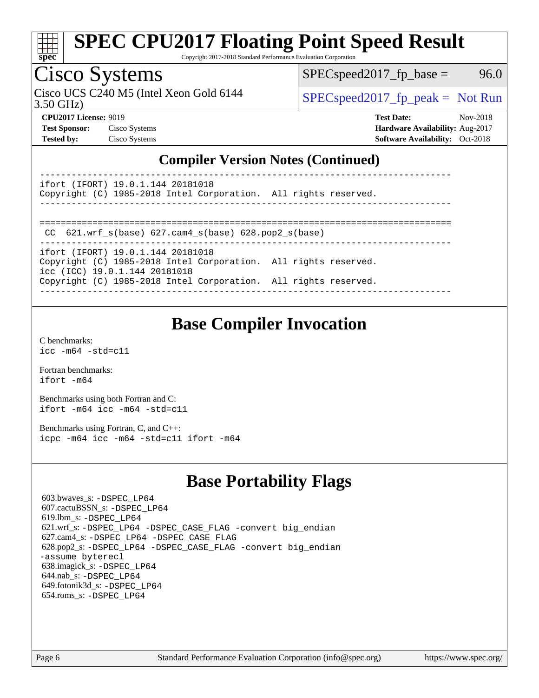

Copyright 2017-2018 Standard Performance Evaluation Corporation

# Cisco Systems

3.50 GHz) Cisco UCS C240 M5 (Intel Xeon Gold 6144  $\vert$  [SPECspeed2017\\_fp\\_peak =](http://www.spec.org/auto/cpu2017/Docs/result-fields.html#SPECspeed2017fppeak) Not Run

 $SPEC speed2017_fp\_base = 96.0$ 

**[CPU2017 License:](http://www.spec.org/auto/cpu2017/Docs/result-fields.html#CPU2017License)** 9019 **[Test Date:](http://www.spec.org/auto/cpu2017/Docs/result-fields.html#TestDate)** Nov-2018 **[Test Sponsor:](http://www.spec.org/auto/cpu2017/Docs/result-fields.html#TestSponsor)** Cisco Systems **[Hardware Availability:](http://www.spec.org/auto/cpu2017/Docs/result-fields.html#HardwareAvailability)** Aug-2017 **[Tested by:](http://www.spec.org/auto/cpu2017/Docs/result-fields.html#Testedby)** Cisco Systems **[Software Availability:](http://www.spec.org/auto/cpu2017/Docs/result-fields.html#SoftwareAvailability)** Oct-2018

## **[Compiler Version Notes \(Continued\)](http://www.spec.org/auto/cpu2017/Docs/result-fields.html#CompilerVersionNotes)**

----------------------------------------------------------------------------- ifort (IFORT) 19.0.1.144 20181018

Copyright (C) 1985-2018 Intel Corporation. All rights reserved. ------------------------------------------------------------------------------

```
==============================================================================
```
CC 621.wrf\_s(base) 627.cam4\_s(base) 628.pop2\_s(base)

----------------------------------------------------------------------------- ifort (IFORT) 19.0.1.144 20181018 Copyright (C) 1985-2018 Intel Corporation. All rights reserved. icc (ICC) 19.0.1.144 20181018 Copyright (C) 1985-2018 Intel Corporation. All rights reserved.

------------------------------------------------------------------------------

## **[Base Compiler Invocation](http://www.spec.org/auto/cpu2017/Docs/result-fields.html#BaseCompilerInvocation)**

[C benchmarks](http://www.spec.org/auto/cpu2017/Docs/result-fields.html#Cbenchmarks): [icc -m64 -std=c11](http://www.spec.org/cpu2017/results/res2018q4/cpu2017-20181211-10270.flags.html#user_CCbase_intel_icc_64bit_c11_33ee0cdaae7deeeab2a9725423ba97205ce30f63b9926c2519791662299b76a0318f32ddfffdc46587804de3178b4f9328c46fa7c2b0cd779d7a61945c91cd35)

[Fortran benchmarks](http://www.spec.org/auto/cpu2017/Docs/result-fields.html#Fortranbenchmarks): [ifort -m64](http://www.spec.org/cpu2017/results/res2018q4/cpu2017-20181211-10270.flags.html#user_FCbase_intel_ifort_64bit_24f2bb282fbaeffd6157abe4f878425411749daecae9a33200eee2bee2fe76f3b89351d69a8130dd5949958ce389cf37ff59a95e7a40d588e8d3a57e0c3fd751)

[Benchmarks using both Fortran and C](http://www.spec.org/auto/cpu2017/Docs/result-fields.html#BenchmarksusingbothFortranandC): [ifort -m64](http://www.spec.org/cpu2017/results/res2018q4/cpu2017-20181211-10270.flags.html#user_CC_FCbase_intel_ifort_64bit_24f2bb282fbaeffd6157abe4f878425411749daecae9a33200eee2bee2fe76f3b89351d69a8130dd5949958ce389cf37ff59a95e7a40d588e8d3a57e0c3fd751) [icc -m64 -std=c11](http://www.spec.org/cpu2017/results/res2018q4/cpu2017-20181211-10270.flags.html#user_CC_FCbase_intel_icc_64bit_c11_33ee0cdaae7deeeab2a9725423ba97205ce30f63b9926c2519791662299b76a0318f32ddfffdc46587804de3178b4f9328c46fa7c2b0cd779d7a61945c91cd35)

[Benchmarks using Fortran, C, and C++:](http://www.spec.org/auto/cpu2017/Docs/result-fields.html#BenchmarksusingFortranCandCXX) [icpc -m64](http://www.spec.org/cpu2017/results/res2018q4/cpu2017-20181211-10270.flags.html#user_CC_CXX_FCbase_intel_icpc_64bit_4ecb2543ae3f1412ef961e0650ca070fec7b7afdcd6ed48761b84423119d1bf6bdf5cad15b44d48e7256388bc77273b966e5eb805aefd121eb22e9299b2ec9d9) [icc -m64 -std=c11](http://www.spec.org/cpu2017/results/res2018q4/cpu2017-20181211-10270.flags.html#user_CC_CXX_FCbase_intel_icc_64bit_c11_33ee0cdaae7deeeab2a9725423ba97205ce30f63b9926c2519791662299b76a0318f32ddfffdc46587804de3178b4f9328c46fa7c2b0cd779d7a61945c91cd35) [ifort -m64](http://www.spec.org/cpu2017/results/res2018q4/cpu2017-20181211-10270.flags.html#user_CC_CXX_FCbase_intel_ifort_64bit_24f2bb282fbaeffd6157abe4f878425411749daecae9a33200eee2bee2fe76f3b89351d69a8130dd5949958ce389cf37ff59a95e7a40d588e8d3a57e0c3fd751)

## **[Base Portability Flags](http://www.spec.org/auto/cpu2017/Docs/result-fields.html#BasePortabilityFlags)**

 603.bwaves\_s: [-DSPEC\\_LP64](http://www.spec.org/cpu2017/results/res2018q4/cpu2017-20181211-10270.flags.html#suite_basePORTABILITY603_bwaves_s_DSPEC_LP64) 607.cactuBSSN\_s: [-DSPEC\\_LP64](http://www.spec.org/cpu2017/results/res2018q4/cpu2017-20181211-10270.flags.html#suite_basePORTABILITY607_cactuBSSN_s_DSPEC_LP64) 619.lbm\_s: [-DSPEC\\_LP64](http://www.spec.org/cpu2017/results/res2018q4/cpu2017-20181211-10270.flags.html#suite_basePORTABILITY619_lbm_s_DSPEC_LP64) 621.wrf\_s: [-DSPEC\\_LP64](http://www.spec.org/cpu2017/results/res2018q4/cpu2017-20181211-10270.flags.html#suite_basePORTABILITY621_wrf_s_DSPEC_LP64) [-DSPEC\\_CASE\\_FLAG](http://www.spec.org/cpu2017/results/res2018q4/cpu2017-20181211-10270.flags.html#b621.wrf_s_baseCPORTABILITY_DSPEC_CASE_FLAG) [-convert big\\_endian](http://www.spec.org/cpu2017/results/res2018q4/cpu2017-20181211-10270.flags.html#user_baseFPORTABILITY621_wrf_s_convert_big_endian_c3194028bc08c63ac5d04de18c48ce6d347e4e562e8892b8bdbdc0214820426deb8554edfa529a3fb25a586e65a3d812c835984020483e7e73212c4d31a38223) 627.cam4\_s: [-DSPEC\\_LP64](http://www.spec.org/cpu2017/results/res2018q4/cpu2017-20181211-10270.flags.html#suite_basePORTABILITY627_cam4_s_DSPEC_LP64) [-DSPEC\\_CASE\\_FLAG](http://www.spec.org/cpu2017/results/res2018q4/cpu2017-20181211-10270.flags.html#b627.cam4_s_baseCPORTABILITY_DSPEC_CASE_FLAG) 628.pop2\_s: [-DSPEC\\_LP64](http://www.spec.org/cpu2017/results/res2018q4/cpu2017-20181211-10270.flags.html#suite_basePORTABILITY628_pop2_s_DSPEC_LP64) [-DSPEC\\_CASE\\_FLAG](http://www.spec.org/cpu2017/results/res2018q4/cpu2017-20181211-10270.flags.html#b628.pop2_s_baseCPORTABILITY_DSPEC_CASE_FLAG) [-convert big\\_endian](http://www.spec.org/cpu2017/results/res2018q4/cpu2017-20181211-10270.flags.html#user_baseFPORTABILITY628_pop2_s_convert_big_endian_c3194028bc08c63ac5d04de18c48ce6d347e4e562e8892b8bdbdc0214820426deb8554edfa529a3fb25a586e65a3d812c835984020483e7e73212c4d31a38223) [-assume byterecl](http://www.spec.org/cpu2017/results/res2018q4/cpu2017-20181211-10270.flags.html#user_baseFPORTABILITY628_pop2_s_assume_byterecl_7e47d18b9513cf18525430bbf0f2177aa9bf368bc7a059c09b2c06a34b53bd3447c950d3f8d6c70e3faf3a05c8557d66a5798b567902e8849adc142926523472) 638.imagick\_s: [-DSPEC\\_LP64](http://www.spec.org/cpu2017/results/res2018q4/cpu2017-20181211-10270.flags.html#suite_basePORTABILITY638_imagick_s_DSPEC_LP64) 644.nab\_s: [-DSPEC\\_LP64](http://www.spec.org/cpu2017/results/res2018q4/cpu2017-20181211-10270.flags.html#suite_basePORTABILITY644_nab_s_DSPEC_LP64) 649.fotonik3d\_s: [-DSPEC\\_LP64](http://www.spec.org/cpu2017/results/res2018q4/cpu2017-20181211-10270.flags.html#suite_basePORTABILITY649_fotonik3d_s_DSPEC_LP64) 654.roms\_s: [-DSPEC\\_LP64](http://www.spec.org/cpu2017/results/res2018q4/cpu2017-20181211-10270.flags.html#suite_basePORTABILITY654_roms_s_DSPEC_LP64)